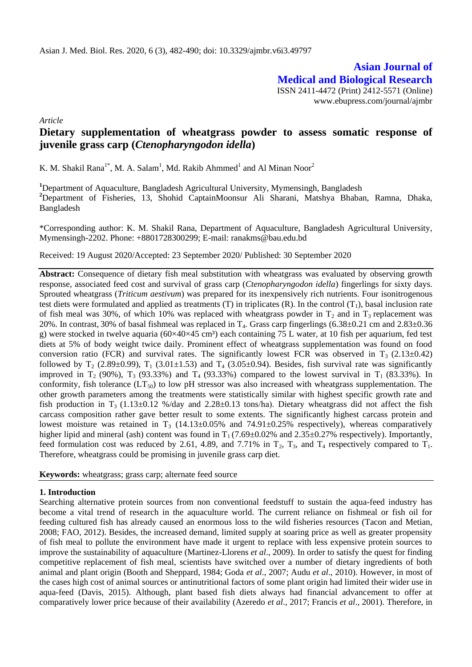**Asian Journal of Medical and Biological Research** ISSN 2411-4472 (Print) 2412-5571 (Online) www.ebupress.com/journal/ajmbr

*Article*

# **Dietary supplementation of wheatgrass powder to assess somatic response of juvenile grass carp (***Ctenopharyngodon idella***)**

K. M. Shakil Rana<sup>1\*</sup>, M. A. Salam<sup>1</sup>, Md. Rakib Ahmmed<sup>1</sup> and Al Minan Noor<sup>2</sup>

**<sup>1</sup>**Department of Aquaculture, Bangladesh Agricultural University, Mymensingh, Bangladesh **<sup>2</sup>**Department of Fisheries, 13, Shohid CaptainMoonsur Ali Sharani, Matshya Bhaban, Ramna, Dhaka, Bangladesh

\*Corresponding author: K. M. Shakil Rana, Department of Aquaculture, Bangladesh Agricultural University, Mymensingh-2202. Phone: +8801728300299; E-mail: [ranakms@bau.edu.bd](mailto:ranakms@bau.edu.bd)

Received: 19 August 2020/Accepted: 23 September 2020/ Published: 30 September 2020

Abstract: Consequence of dietary fish meal substitution with wheatgrass was evaluated by observing growth response, associated feed cost and survival of grass carp (*Ctenopharyngodon idella*) fingerlings for sixty days. Sprouted wheatgrass (*Triticum aestivum*) was prepared for its inexpensively rich nutrients. Four isonitrogenous test diets were formulated and applied as treatments (T) in triplicates  $(R)$ . In the control  $(T_1)$ , basal inclusion rate of fish meal was 30%, of which 10% was replaced with wheatgrass powder in  $T_2$  and in  $T_3$  replacement was 20%. In contrast, 30% of basal fishmeal was replaced in  $T_4$ . Grass carp fingerlings (6.38±0.21 cm and 2.83±0.36 g) were stocked in twelve aquaria  $(60\times40\times45 \text{ cm}^3)$  each containing 75 L water, at 10 fish per aquarium, fed test diets at 5% of body weight twice daily. Prominent effect of wheatgrass supplementation was found on food conversion ratio (FCR) and survival rates. The significantly lowest FCR was observed in  $T_3$  (2.13±0.42) followed by  $T_2$  (2.89±0.99),  $T_1$  (3.01±1.53) and  $T_4$  (3.05±0.94). Besides, fish survival rate was significantly improved in  $T_2$  (90%),  $T_3$  (93.33%) and  $T_4$  (93.33%) compared to the lowest survival in  $T_1$  (83.33%). In conformity, fish tolerance  $(LT_{50})$  to low pH stressor was also increased with wheatgrass supplementation. The other growth parameters among the treatments were statistically similar with highest specific growth rate and fish production in T<sub>3</sub> (1.13±0.12 %/day and 2.28±0.13 tons/ha). Dietary wheatgrass did not affect the fish carcass composition rather gave better result to some extents. The significantly highest carcass protein and lowest moisture was retained in  $T_3$  (14.13±0.05% and 74.91±0.25% respectively), whereas comparatively higher lipid and mineral (ash) content was found in  $T_1$  (7.69±0.02% and 2.35±0.27% respectively). Importantly, feed formulation cost was reduced by 2.61, 4.89, and 7.71% in  $T_2$ ,  $T_3$ , and  $T_4$  respectively compared to  $T_1$ . Therefore, wheatgrass could be promising in juvenile grass carp diet.

**Keywords:** wheatgrass; grass carp; alternate feed source

### **1. Introduction**

Searching alternative protein sources from non conventional feedstuff to sustain the aqua-feed industry has become a vital trend of research in the aquaculture world. The current reliance on fishmeal or fish oil for feeding cultured fish has already caused an enormous loss to the wild fisheries resources (Tacon and Metian, 2008; FAO, 2012). Besides, the increased demand, limited supply at soaring price as well as greater propensity of fish meal to pollute the environment have made it urgent to replace with less expensive protein sources to improve the sustainability of aquaculture (Martinez-Llorens *et al*., 2009). In order to satisfy the quest for finding competitive replacement of fish meal, scientists have switched over a number of dietary ingredients of both animal and plant origin (Booth and Sheppard, 1984; Goda *et al*., 2007; Audu *et al*., 2010). However, in most of the cases high cost of animal sources or antinutritional factors of some plant origin had limited their wider use in aqua-feed (Davis, 2015). Although, plant based fish diets always had financial advancement to offer at comparatively lower price because of their availability (Azeredo *et al*., 2017; Francis *et al*., 2001). Therefore, in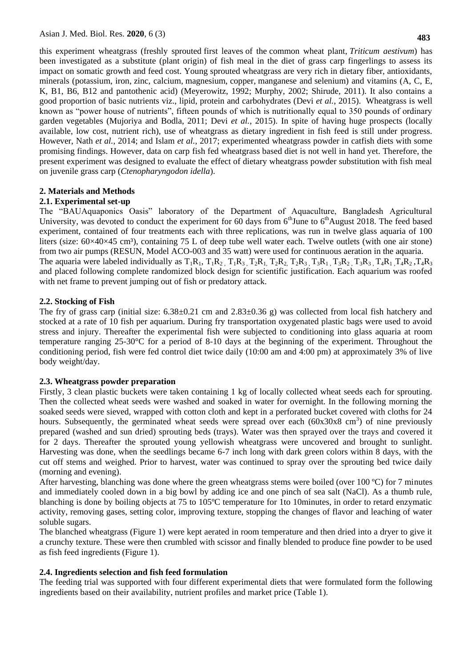this experiment wheatgrass (freshly sprouted first leaves of the common wheat plant, *Triticum aestivum*) has been investigated as a substitute (plant origin) of fish meal in the diet of grass carp fingerlings to assess its impact on somatic growth and feed cost. Young sprouted wheatgrass are very rich in dietary fiber, antioxidants, minerals (potassium, iron, zinc, calcium, magnesium, copper, manganese and selenium) and vitamins (A, C, E, K, B1, B6, B12 and pantothenic acid) (Meyerowitz, 1992; Murphy, 2002; Shirude, 2011). It also contains a good proportion of basic nutrients viz., lipid, protein and carbohydrates (Devi *et al.*, 2015). Wheatgrass is well known as "power house of nutrients", fifteen pounds of which is nutritionally equal to 350 pounds of ordinary garden vegetables (Mujoriya and Bodla, 2011; Devi *et al.*, 2015). In spite of having huge prospects (locally available, low cost, nutrient rich), use of wheatgrass as dietary ingredient in fish feed is still under progress. However, Nath *et al.*, 2014; and Islam *et al.*, 2017; experimented wheatgrass powder in catfish diets with some promising findings. However, data on carp fish fed wheatgrass based diet is not well in hand yet. Therefore, the present experiment was designed to evaluate the effect of dietary wheatgrass powder substitution with fish meal on juvenile grass carp (*Ctenopharyngodon idella*).

# **2. Materials and Methods**

# **2.1. Experimental set-up**

The "BAUAquaponics Oasis" laboratory of the Department of Aquaculture, Bangladesh Agricultural University, was devoted to conduct the experiment for 60 days from  $6<sup>th</sup>$  June to  $6<sup>th</sup>$  August 2018. The feed based experiment, contained of four treatments each with three replications, was run in twelve glass aquaria of 100 liters (size:  $60\times40\times45$  cm<sup>3</sup>), containing 75 L of deep tube well water each. Twelve outlets (with one air stone) from two air pumps (RESUN, Model ACO-003 and 35 watt) were used for continuous aeration in the aquaria. The aquaria were labeled individually as  $T_1R_1$ ,  $T_1R_2$ ,  $T_1R_3$ ,  $T_2R_1$ ,  $T_2R_2$ ,  $T_2R_3$ ,  $T_3R_1$ ,  $T_3R_2$ ,  $T_3R_3$ ,  $T_4R_1$ ,  $T_4R_2$ ,  $T_4R_3$ and placed following complete randomized block design for scientific justification. Each aquarium was roofed with net frame to prevent jumping out of fish or predatory attack.

# **2.2. Stocking of Fish**

The fry of grass carp (initial size:  $6.38\pm0.21$  cm and  $2.83\pm0.36$  g) was collected from local fish hatchery and stocked at a rate of 10 fish per aquarium. During fry transportation oxygenated plastic bags were used to avoid stress and injury. Thereafter the experimental fish were subjected to conditioning into glass aquaria at room temperature ranging 25-30°C for a period of 8-10 days at the beginning of the experiment. Throughout the conditioning period, fish were fed control diet twice daily (10:00 am and 4:00 pm) at approximately 3% of live body weight/day.

### **2.3. Wheatgrass powder preparation**

Firstly, 3 clean plastic buckets were taken containing 1 kg of locally collected wheat seeds each for sprouting. Then the collected wheat seeds were washed and soaked in water for overnight. In the following morning the soaked seeds were sieved, wrapped with cotton cloth and kept in a perforated bucket covered with cloths for 24 hours. Subsequently, the germinated wheat seeds were spread over each  $(60x30x8 \text{ cm}^3)$  of nine previously prepared (washed and sun dried) sprouting beds (trays). Water was then sprayed over the trays and covered it for 2 days. Thereafter the sprouted young yellowish wheatgrass were uncovered and brought to sunlight. Harvesting was done, when the seedlings became 6-7 inch long with dark green colors within 8 days, with the cut off stems and weighed. Prior to harvest, water was continued to spray over the sprouting bed twice daily (morning and evening).

After harvesting, blanching was done where the green wheatgrass stems were boiled (over 100 °C) for 7 minutes and immediately cooled down in a big bowl by adding ice and one pinch of sea salt (NaCl). As a thumb rule, blanching is done by boiling objects at 75 to 105ºC temperature for 1to 10minutes, in order to retard enzymatic activity, removing gases, setting color, improving texture, stopping the changes of flavor and leaching of water soluble sugars.

The blanched wheatgrass (Figure 1) were kept aerated in room temperature and then dried into a dryer to give it a crunchy texture. These were then crumbled with scissor and finally blended to produce fine powder to be used as fish feed ingredients (Figure 1).

# **2.4. Ingredients selection and fish feed formulation**

The feeding trial was supported with four different experimental diets that were formulated form the following ingredients based on their availability, nutrient profiles and market price (Table 1).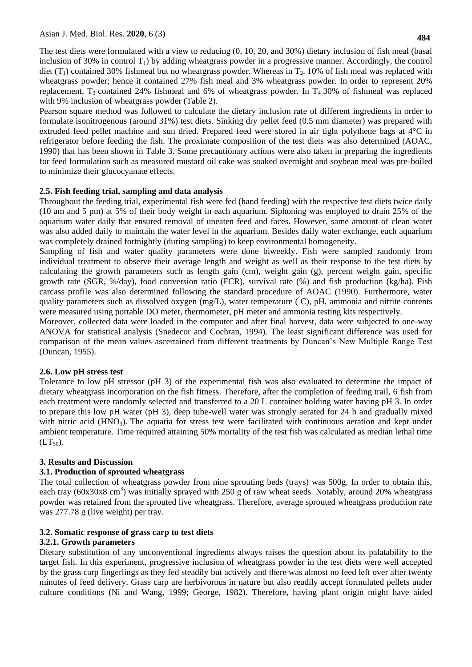The test diets were formulated with a view to reducing (0, 10, 20, and 30%) dietary inclusion of fish meal (basal inclusion of 30% in control  $T_1$ ) by adding wheatgrass powder in a progressive manner. Accordingly, the control diet ( $T_1$ ) contained 30% fishmeal but no wheatgrass powder. Whereas in  $T_2$ , 10% of fish meal was replaced with wheatgrass powder; hence it contained 27% fish meal and 3% wheatgrass powder. In order to represent 20% replacement,  $T_3$  contained 24% fishmeal and 6% of wheatgrass powder. In  $T_4$  30% of fishmeal was replaced with 9% inclusion of wheatgrass powder (Table 2).

Pearson square method was followed to calculate the dietary inclusion rate of different ingredients in order to formulate isonitrogenous (around 31%) test diets. Sinking dry pellet feed (0.5 mm diameter) was prepared with extruded feed pellet machine and sun dried. Prepared feed were stored in air tight polythene bags at 4°C in refrigerator before feeding the fish. The proximate composition of the test diets was also determined (AOAC, 1990) that has been shown in Table 3. Some precautionary actions were also taken in preparing the ingredients for feed formulation such as measured mustard oil cake was soaked overnight and soybean meal was pre-boiled to minimize their glucocyanate effects.

#### **2.5. Fish feeding trial, sampling and data analysis**

Throughout the feeding trial, experimental fish were fed (hand feeding) with the respective test diets twice daily (10 am and 5 pm) at 5% of their body weight in each aquarium. Siphoning was employed to drain 25% of the aquarium water daily that ensured removal of uneaten feed and faces. However, same amount of clean water was also added daily to maintain the water level in the aquarium. Besides daily water exchange, each aquarium was completely drained fortnightly (during sampling) to keep environmental homogeneity.

Sampling of fish and water quality parameters were done biweekly. Fish were sampled randomly from individual treatment to observe their average length and weight as well as their response to the test diets by calculating the growth parameters such as length gain (cm), weight gain (g), percent weight gain, specific growth rate (SGR, %/day), food conversion ratio (FCR), survival rate (%) and fish production (kg/ha). Fish carcass profile was also determined following the standard procedure of AOAC (1990). Furthermore, water quality parameters such as dissolved oxygen (mg/L), water temperature  $({\rm ^{\circ}C}),$  pH, ammonia and nitrite contents were measured using portable DO meter, thermometer, pH meter and ammonia testing kits respectively.

Moreover, collected data were loaded in the computer and after final harvest, data were subjected to one-way ANOVA for statistical analysis (Snedecor and Cochran, 1994). The least significant difference was used for comparison of the mean values ascertained from different treatments by Duncan's New Multiple Range Test (Duncan, 1955).

### **2.6. Low pH stress test**

Tolerance to low pH stressor (pH 3) of the experimental fish was also evaluated to determine the impact of dietary wheatgrass incorporation on the fish fitness. Therefore, after the completion of feeding trail, 6 fish from each treatment were randomly selected and transferred to a 20 L container holding water having pH 3. In order to prepare this low pH water (pH 3), deep tube-well water was strongly aerated for 24 h and gradually mixed with nitric acid ( $HNO<sub>3</sub>$ ). The aquaria for stress test were facilitated with continuous aeration and kept under ambient temperature. Time required attaining 50% mortality of the test fish was calculated as median lethal time  $(LT_{50})$ .

#### **3. Results and Discussion**

### **3.1. Production of sprouted wheatgrass**

The total collection of wheatgrass powder from nine sprouting beds (trays) was 500g. In order to obtain this, each tray (60x30x8 cm<sup>3</sup>) was initially sprayed with 250 g of raw wheat seeds. Notably, around 20% wheatgrass powder was retained from the sprouted live wheatgrass. Therefore, average sprouted wheatgrass production rate was 277.78 g (live weight) per tray.

#### **3.2. Somatic response of grass carp to test diets**

#### **3.2.1. Growth parameters**

Dietary substitution of any unconventional ingredients always raises the question about its palatability to the target fish. In this experiment, progressive inclusion of wheatgrass powder in the test diets were well accepted by the grass carp fingerlings as they fed steadily but actively and there was almost no feed left over after twenty minutes of feed delivery. Grass carp are herbivorous in nature but also readily accept formulated pellets under culture conditions (Ni and Wang, 1999; George, 1982). Therefore, having plant origin might have aided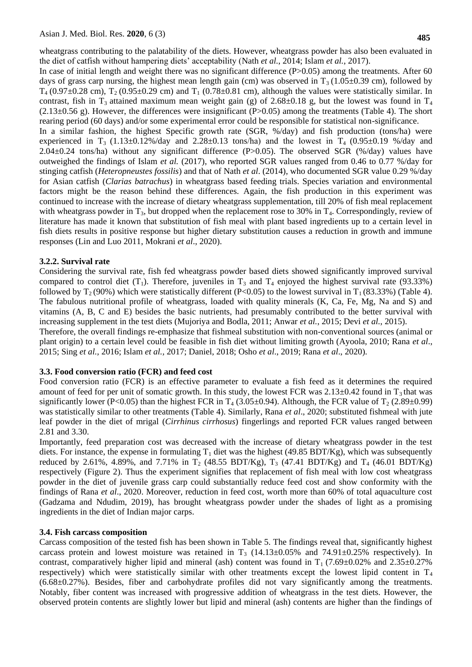wheatgrass contributing to the palatability of the diets. However, wheatgrass powder has also been evaluated in the diet of catfish without hampering diets' acceptability (Nath *et al.*, 2014; Islam *et al.*, 2017).

In case of initial length and weight there was no significant difference  $(P>0.05)$  among the treatments. After 60 days of grass carp nursing, the highest mean length gain (cm) was observed in  $T_3$  (1.05±0.39 cm), followed by  $T_4$  (0.97 $\pm$ 0.28 cm),  $T_2$  (0.95 $\pm$ 0.29 cm) and  $T_1$  (0.78 $\pm$ 0.81 cm), although the values were statistically similar. In contrast, fish in T<sub>3</sub> attained maximum mean weight gain (g) of  $2.68\pm0.18$  g, but the lowest was found in T<sub>4</sub>  $(2.13\pm0.56 \text{ g})$ . However, the differences were insignificant (P $>0.05$ ) among the treatments (Table 4). The short rearing period (60 days) and/or some experimental error could be responsible for statistical non-significance.

In a similar fashion, the highest Specific growth rate (SGR, %/day) and fish production (tons/ha) were experienced in  $T_3$  (1.13±0.12%/day and 2.28±0.13 tons/ha) and the lowest in  $T_4$  (0.95±0.19 %/day and 2.04±0.24 tons/ha) without any significant difference (P>0.05). The observed SGR (%/day) values have outweighed the findings of Islam *et al.* (2017), who reported SGR values ranged from 0.46 to 0.77 %/day for stinging catfish (*Heteropneustes fossilis*) and that of Nath *et al*. (2014), who documented SGR value 0.29 %/day for Asian catfish (*Clarias batrachus*) in wheatgrass based feeding trials. Species variation and environmental factors might be the reason behind these differences. Again, the fish production in this experiment was continued to increase with the increase of dietary wheatgrass supplementation, till 20% of fish meal replacement with wheatgrass powder in  $T_3$ , but dropped when the replacement rose to 30% in  $T_4$ . Correspondingly, review of literature has made it known that substitution of fish meal with plant based ingredients up to a certain level in fish diets results in positive response but higher dietary substitution causes a reduction in growth and immune responses (Lin and Luo 2011, Mokrani *et al*., 2020).

# **3.2.2. Survival rate**

Considering the survival rate, fish fed wheatgrass powder based diets showed significantly improved survival compared to control diet  $(T_1)$ . Therefore, juveniles in  $T_3$  and  $T_4$  enjoyed the highest survival rate (93.33%) followed by  $T_2(90\%)$  which were statistically different (P<0.05) to the lowest survival in  $T_1(83.33\%)$  (Table 4). The fabulous nutritional profile of wheatgrass, loaded with quality minerals (K, Ca, Fe, Mg, Na and S) and vitamins (A, B, C and E) besides the basic nutrients, had presumably contributed to the better survival with increasing supplement in the test diets (Mujoriya and Bodla, 2011; Anwar *et al.*, 2015; Devi *et al.*, 2015).

Therefore, the overall findings re-emphasize that fishmeal substitution with non-conventional sources (animal or plant origin) to a certain level could be feasible in fish diet without limiting growth (Ayoola, 2010; Rana *et al*., 2015; Sing *et al.,* 2016; Islam *et al.,* 2017; Daniel, 2018; Osho *et al*., 2019; Rana *et al*., 2020).

### **3.3. Food conversion ratio (FCR) and feed cost**

Food conversion ratio (FCR) is an effective parameter to evaluate a fish feed as it determines the required amount of feed for per unit of somatic growth. In this study, the lowest FCR was  $2.13\pm0.42$  found in T<sub>3</sub> that was significantly lower (P<0.05) than the highest FCR in  $T_4$  (3.05±0.94). Although, the FCR value of  $T_2$  (2.89±0.99) was statistically similar to other treatments (Table 4). Similarly, Rana *et al*., 2020; substituted fishmeal with jute leaf powder in the diet of mrigal (*Cirrhinus cirrhosus*) fingerlings and reported FCR values ranged between 2.81 and 3.30.

Importantly, feed preparation cost was decreased with the increase of dietary wheatgrass powder in the test diets. For instance, the expense in formulating  $T_1$  diet was the highest (49.85 BDT/Kg), which was subsequently reduced by 2.61%, 4.89%, and 7.71% in  $T_2$  (48.55 BDT/Kg),  $T_3$  (47.41 BDT/Kg) and  $T_4$  (46.01 BDT/Kg) respectively (Figure 2). Thus the experiment signifies that replacement of fish meal with low cost wheatgrass powder in the diet of juvenile grass carp could substantially reduce feed cost and show conformity with the findings of Rana *et al*., 2020. Moreover, reduction in feed cost, worth more than 60% of total aquaculture cost (Gadzama and Ndudim, 2019), has brought wheatgrass powder under the shades of light as a promising ingredients in the diet of Indian major carps.

### **3.4. Fish carcass composition**

Carcass composition of the tested fish has been shown in Table 5. The findings reveal that, significantly highest carcass protein and lowest moisture was retained in  $T_3$  (14.13±0.05% and 74.91±0.25% respectively). In contrast, comparatively higher lipid and mineral (ash) content was found in  $T_1$  (7.69 $\pm$ 0.02% and 2.35 $\pm$ 0.27% respectively) which were statistically similar with other treatments except the lowest lipid content in  $T_4$ (6.68±0.27%). Besides, fiber and carbohydrate profiles did not vary significantly among the treatments. Notably, fiber content was increased with progressive addition of wheatgrass in the test diets. However, the observed protein contents are slightly lower but lipid and mineral (ash) contents are higher than the findings of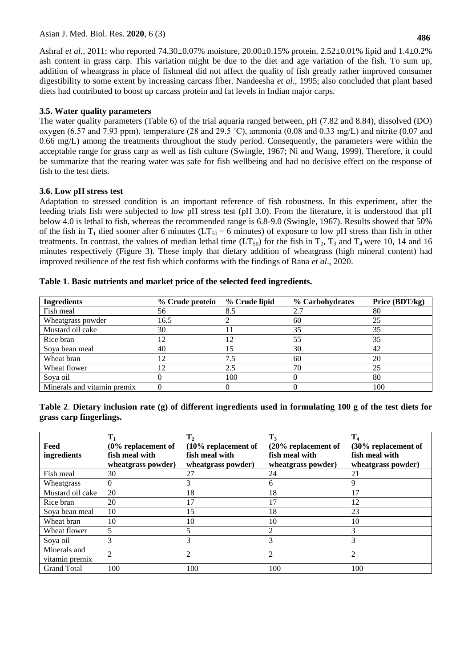Asian J. Med. Biol. Res. **2020**, 6 (3)

Ashraf *et al.*, 2011; who reported 74.30±0.07% moisture, 20.00±0.15% protein, 2.52±0.01% lipid and 1.4±0.2% ash content in grass carp. This variation might be due to the diet and age variation of the fish. To sum up, addition of wheatgrass in place of fishmeal did not affect the quality of fish greatly rather improved consumer digestibility to some extent by increasing carcass fiber. Nandeesha *et al*., 1995; also concluded that plant based diets had contributed to boost up carcass protein and fat levels in Indian major carps.

# **3.5. Water quality parameters**

The water quality parameters (Table 6) of the trial aquaria ranged between, pH (7.82 and 8.84), dissolved (DO) oxygen (6.57 and 7.93 ppm), temperature (28 and 29.5 ˚C), ammonia (0.08 and 0.33 mg/L) and nitrite (0.07 and 0.66 mg/L) among the treatments throughout the study period. Consequently, the parameters were within the acceptable range for grass carp as well as fish culture (Swingle, 1967; Ni and Wang, 1999). Therefore, it could be summarize that the rearing water was safe for fish wellbeing and had no decisive effect on the response of fish to the test diets.

# **3.6. Low pH stress test**

Adaptation to stressed condition is an important reference of fish robustness. In this experiment, after the feeding trials fish were subjected to low pH stress test (pH 3.0). From the literature, it is understood that pH below 4.0 is lethal to fish, whereas the recommended range is 6.8-9.0 (Swingle, 1967). Results showed that 50% of the fish in T<sub>1</sub> died sooner after 6 minutes (LT<sub>50</sub> = 6 minutes) of exposure to low pH stress than fish in other treatments. In contrast, the values of median lethal time ( $LT_{50}$ ) for the fish in  $T_2$ ,  $T_3$  and  $T_4$  were 10, 14 and 16 minutes respectively (Figure 3). These imply that dietary addition of wheatgrass (high mineral content) had improved resilience of the test fish which conforms with the findings of Rana *et al*., 2020.

| <b>Ingredients</b>          | % Crude protein | % Crude lipid | % Carbohydrates | Price (BDT/kg) |
|-----------------------------|-----------------|---------------|-----------------|----------------|
| Fish meal                   | 56              | 8.5           | 2.7             | 80             |
| Wheatgrass powder           | 16.5            |               | 60              | 25             |
| Mustard oil cake            | 30              |               | 35              | 35             |
| Rice bran                   | 12              | 12            | 55              | 35             |
| Soya bean meal              | 40              | 15            | 30              | 42             |
| Wheat bran                  | ◯               | 7.5           | 60              | 20             |
| Wheat flower                |                 | 2.5           | 70              | 25             |
| Soya oil                    |                 | 100           |                 | 80             |
| Minerals and vitamin premix |                 |               |                 | 100            |

|  | Table 1. Basic nutrients and market price of the selected feed ingredients. |
|--|-----------------------------------------------------------------------------|
|--|-----------------------------------------------------------------------------|

| Table 2. Dietary inclusion rate (g) of different ingredients used in formulating 100 g of the test diets for |  |  |  |  |
|--------------------------------------------------------------------------------------------------------------|--|--|--|--|
| grass carp fingerlings.                                                                                      |  |  |  |  |

| Feed<br>ingredients            | $T_1$<br>$(0\%$ replacement of<br>fish meal with<br>wheatgrass powder) | T <sub>2</sub><br>$(10\%$ replacement of<br>fish meal with<br>wheatgrass powder) | $T_3$<br>$(20\%$ replacement of<br>fish meal with<br>wheatgrass powder) | $T_4$<br>(30% replacement of<br>fish meal with<br>wheatgrass powder) |
|--------------------------------|------------------------------------------------------------------------|----------------------------------------------------------------------------------|-------------------------------------------------------------------------|----------------------------------------------------------------------|
| Fish meal                      | 30                                                                     | 27                                                                               | 24                                                                      | 21                                                                   |
| Wheatgrass                     | 0                                                                      | 3                                                                                | 6                                                                       | 9                                                                    |
| Mustard oil cake               | 20                                                                     | 18                                                                               | 18                                                                      | 17                                                                   |
| Rice bran                      | 20                                                                     |                                                                                  | 17                                                                      | 12                                                                   |
| Soya bean meal                 | 10                                                                     | 15                                                                               | 18                                                                      | 23                                                                   |
| Wheat bran                     | 10                                                                     | 10                                                                               | 10                                                                      | 10                                                                   |
| Wheat flower                   |                                                                        |                                                                                  | 2                                                                       | 3                                                                    |
| Sova oil                       | 3                                                                      | 3                                                                                | 3                                                                       | 3                                                                    |
| Minerals and<br>vitamin premix |                                                                        | $\mathfrak{D}$                                                                   | 2                                                                       | 2                                                                    |
| <b>Grand Total</b>             | 100                                                                    | 100                                                                              | 100                                                                     | 100                                                                  |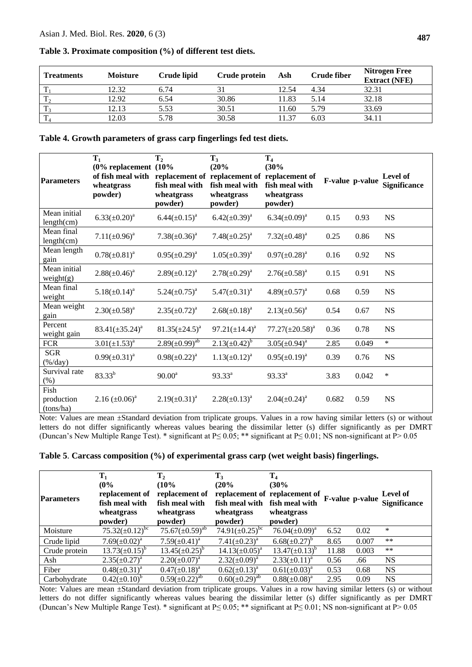| <b>Treatments</b> | <b>Moisture</b> | Crude lipid | Crude protein | Ash   | <b>Crude fiber</b> | <b>Nitrogen Free</b><br><b>Extract (NFE)</b> |
|-------------------|-----------------|-------------|---------------|-------|--------------------|----------------------------------------------|
| $\mathbf{T}$      | 12.32           | 6.74        | 31            | 12.54 | 4.34               | 32.31                                        |
| T <sub>2</sub>    | 12.92           | 6.54        | 30.86         | 11.83 | 5.14               | 32.18                                        |
| T <sub>3</sub>    | 12.13           | 5.53        | 30.51         | 11.60 | 5.79               | 33.69                                        |
| $\rm T_4$         | .2.03           | 5.78        | 30.58         | 11.37 | 6.03               | 34.11                                        |

#### **Table 3. Proximate composition (%) of different test diets.**

**Table 4. Growth parameters of grass carp fingerlings fed test diets.**

| <b>Parameters</b>                  | $T_1$<br>$(0\%$ replacement $(10\%$<br>of fish meal with<br>wheatgrass<br>powder) | T <sub>2</sub><br>replacement of<br>fish meal with<br>wheatgrass<br>powder) | $T_3$<br>(20%<br>fish meal with<br>wheatgrass<br>powder) | T <sub>4</sub><br>(30%<br>replacement of replacement of<br>fish meal with<br>wheatgrass<br>powder) |       | F-value p-value | <b>Level of</b><br><b>Significance</b> |
|------------------------------------|-----------------------------------------------------------------------------------|-----------------------------------------------------------------------------|----------------------------------------------------------|----------------------------------------------------------------------------------------------------|-------|-----------------|----------------------------------------|
| Mean initial<br>length(cm)         | $6.33(\pm 0.20)^a$                                                                | $6.44(\pm 0.15)^{a}$                                                        | $6.42(\pm 0.39)^a$                                       | $6.34(\pm 0.09)^a$                                                                                 | 0.15  | 0.93            | <b>NS</b>                              |
| Mean final<br>length(cm)           | $7.11(\pm 0.96)^a$                                                                | $7.38(\pm 0.36)^a$                                                          | $7.48(\pm 0.25)^a$                                       | $7.32(\pm 0.48)^a$                                                                                 | 0.25  | 0.86            | <b>NS</b>                              |
| Mean length<br>gain                | $0.78(\pm 0.81)^a$                                                                | $0.95(\pm 0.29)^a$                                                          | $1.05(\pm 0.39)^a$                                       | $0.97(\pm 0.28)^a$                                                                                 | 0.16  | 0.92            | <b>NS</b>                              |
| Mean initial<br>weight(g)          | $2.88(\pm 0.46)^a$                                                                | $2.89(\pm 0.12)^a$                                                          | $2.78(\pm 0.29)^a$                                       | $2.76(\pm 0.58)^a$                                                                                 | 0.15  | 0.91            | <b>NS</b>                              |
| Mean final<br>weight               | $5.18(\pm 0.14)^a$                                                                | $5.24(\pm 0.75)^a$                                                          | $5.47(\pm 0.31)^a$                                       | $4.89(\pm 0.57)^{a}$                                                                               | 0.68  | 0.59            | <b>NS</b>                              |
| Mean weight<br>gain                | $2.30(\pm 0.58)^a$                                                                | $2.35(\pm 0.72)^a$                                                          | $2.68(\pm 0.18)^a$                                       | $2.13(\pm 0.56)^a$                                                                                 | 0.54  | 0.67            | <b>NS</b>                              |
| Percent<br>weight gain             | $83.41(\pm 35.24)^a$                                                              | $81.35(\pm 24.5)^a$                                                         | $97.21(\pm 14.4)^a$                                      | $77.27(\pm 20.58)^a$                                                                               | 0.36  | 0.78            | <b>NS</b>                              |
| <b>FCR</b>                         | $3.01(\pm 1.53)^a$                                                                | $2.89(\pm 0.99)^{ab}$                                                       | $2.13(\pm 0.42)^{b}$                                     | $3.05(\pm 0.94)^a$                                                                                 | 2.85  | 0.049           | $\ast$                                 |
| <b>SGR</b><br>$(\frac{9}{6}$ /day) | $0.99(\pm 0.31)^a$                                                                | $0.98(\pm 0.22)^a$                                                          | $1.13(\pm 0.12)^a$                                       | $0.95(\pm 0.19)^a$                                                                                 | 0.39  | 0.76            | <b>NS</b>                              |
| Survival rate<br>(%)               | $83.33^{b}$                                                                       | $90.00^a$                                                                   | $93.33^a$                                                | $93.33^{a}$                                                                                        | 3.83  | 0.042           | $\ast$                                 |
| Fish<br>production<br>(tons/ha)    | $2.16 \ (\pm 0.06)^a$                                                             | $2.19(\pm 0.31)^a$                                                          | $2.28(\pm 0.13)^a$                                       | $2.04(\pm 0.24)^a$                                                                                 | 0.682 | 0.59            | <b>NS</b>                              |

Note: Values are mean ±Standard deviation from triplicate groups. Values in a row having similar letters (s) or without letters do not differ significantly whereas values bearing the dissimilar letter (s) differ significantly as per DMRT (Duncan's New Multiple Range Test). \* significant at P≤ 0.05; \*\* significant at P≤ 0.01; NS non-significant at P˃ 0.05

|  |  |  | Table 5. Carcass composition (%) of experimental grass carp (wet weight basis) fingerlings. |  |  |  |  |  |  |  |
|--|--|--|---------------------------------------------------------------------------------------------|--|--|--|--|--|--|--|
|--|--|--|---------------------------------------------------------------------------------------------|--|--|--|--|--|--|--|

| <b>Parameters</b> | $T_1$<br>(0%<br>replacement of<br>fish meal with<br>wheatgrass<br>powder) | $\mathbf{T}_2$<br>(10%<br>replacement of<br>fish meal with<br>wheatgrass<br>powder) | $T_3$<br>(20%<br>fish meal with fish meal with<br>wheatgrass<br>powder) | T <sub>4</sub><br>(30%<br>replacement of replacement of<br>wheatgrass<br>powder) |       | F-value p-value | <b>Level of</b><br><b>Significance</b> |
|-------------------|---------------------------------------------------------------------------|-------------------------------------------------------------------------------------|-------------------------------------------------------------------------|----------------------------------------------------------------------------------|-------|-----------------|----------------------------------------|
| Moisture          | $75.32(\pm 0.12)^{bc}$                                                    | $75.67(\pm 0.59)^{ab}$                                                              | 74.91( $\pm$ 0.25) <sup>bc</sup>                                        | $76.04(\pm 0.09)^a$                                                              | 6.52  | 0.02            | *                                      |
| Crude lipid       | $7.69(\pm0.02)^{a}$                                                       | $7.59(\pm 0.41)^a$                                                                  | $7.41(\pm 0.23)^a$                                                      | $6.68(\pm 0.27)^b$                                                               | 8.65  | 0.007           | $***$                                  |
| Crude protein     | $13.73(\pm 0.15)^b$                                                       | $13.45(\pm 0.25)^b$                                                                 | $14.13(\pm 0.05)^a$                                                     | $13.47(\pm 0.13)^b$                                                              | 11.88 | 0.003           | $***$                                  |
| Ash               | $2.35(\pm 0.27)^a$                                                        | $2.20(\pm 0.07)^a$                                                                  | $2.32(\pm 0.09)^a$                                                      | $2.33(\pm 0.11)^a$                                                               | 0.56  | .66             | <b>NS</b>                              |
| Fiber             | $0.48(\pm 0.31)^a$                                                        | $0.47(\pm 0.18)^a$                                                                  | $0.62(\pm 0.13)^{a}$                                                    | $0.61(\pm 0.03)^a$                                                               | 0.53  | 0.68            | <b>NS</b>                              |
| Carbohydrate      | $0.42(\pm 0.10)^b$                                                        | $0.59(\pm 0.22)^{\overline{a}\overline{b}}$                                         | $0.60(\pm 0.29)^{ab}$                                                   | $0.88(\pm 0.08)^a$                                                               | 2.95  | 0.09            | NS                                     |

Note: Values are mean ±Standard deviation from triplicate groups. Values in a row having similar letters (s) or without letters do not differ significantly whereas values bearing the dissimilar letter (s) differ significantly as per DMRT (Duncan's New Multiple Range Test). \* significant at P≤ 0.05; \*\* significant at P≤ 0.01; NS non-significant at P˃ 0.05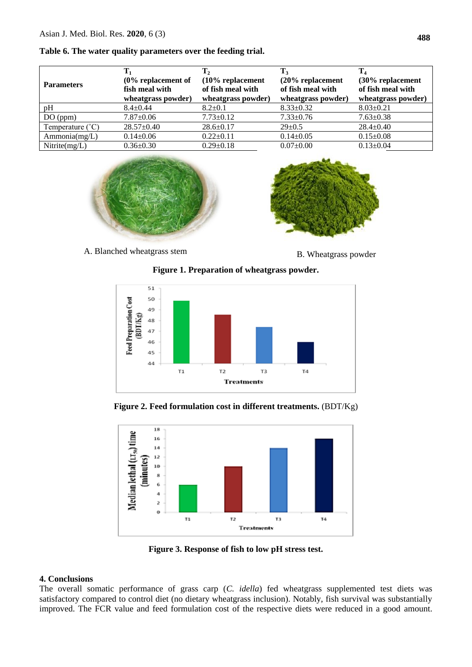#### **Table 6. The water quality parameters over the feeding trial.**

| <b>Parameters</b>         | $T_1$<br>$(0\%$ replacement of<br>fish meal with<br>wheatgrass powder) | $\mathbf{T}_2$<br>$(10\%$ replacement<br>of fish meal with<br>wheatgrass powder) | T,<br>$(20\%$ replacement<br>of fish meal with<br>wheatgrass powder) | $T_{4}$<br>(30% replacement<br>of fish meal with<br>wheatgrass powder) |
|---------------------------|------------------------------------------------------------------------|----------------------------------------------------------------------------------|----------------------------------------------------------------------|------------------------------------------------------------------------|
| pH                        | $8.4 + 0.44$                                                           | $8.2 \pm 0.1$                                                                    | $8.33 \pm 0.32$                                                      | $8.03 \pm 0.21$                                                        |
| DO (ppm)                  | $7.87 \pm 0.06$                                                        | $7.73 \pm 0.12$                                                                  | $7.33 \pm 0.76$                                                      | $7.63 \pm 0.38$                                                        |
| Temperature $(^{\circ}C)$ | $28.57 \pm 0.40$                                                       | $28.6 \pm 0.17$                                                                  | $29 \pm 0.5$                                                         | $28.4+0.40$                                                            |
| Ammonia(mg/L)             | $0.14 \pm 0.06$                                                        | $0.22 \pm 0.11$                                                                  | $0.14 \pm 0.05$                                                      | $0.15 \pm 0.08$                                                        |
| Nitrite $(mg/L)$          | $0.36 \pm 0.30$                                                        | $0.29 \pm 0.18$                                                                  | $0.07 \pm 0.00$                                                      | $0.13 \pm 0.04$                                                        |



A. Blanched wheatgrass stem B. Wheatgrass powder



**Figure 1. Preparation of wheatgrass powder.**



**Figure 2. Feed formulation cost in different treatments.** (BDT/Kg)



**Figure 3. Response of fish to low pH stress test.**

# **4. Conclusions**

The overall somatic performance of grass carp (*C. idella*) fed wheatgrass supplemented test diets was satisfactory compared to control diet (no dietary wheatgrass inclusion). Notably, fish survival was substantially improved. The FCR value and feed formulation cost of the respective diets were reduced in a good amount.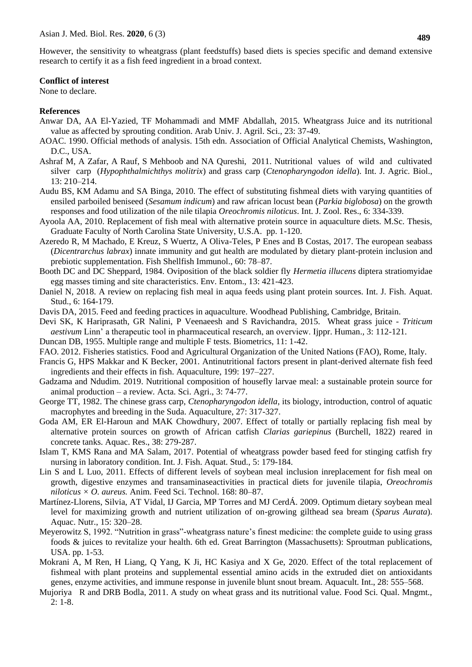However, the sensitivity to wheatgrass (plant feedstuffs) based diets is species specific and demand extensive research to certify it as a fish feed ingredient in a broad context.

#### **Conflict of interest**

None to declare.

### **References**

- Anwar DA, AA El-Yazied, TF Mohammadi and MMF Abdallah, 2015. Wheatgrass Juice and its nutritional value as affected by sprouting condition. Arab Univ. J. Agril. Sci., 23: 37-49.
- AOAC. 1990. Official methods of analysis. 15th edn. Association of Official Analytical Chemists, Washington, D.C., USA.
- Ashraf M, A Zafar, A Rauf, S Mehboob and NA Qureshi, 2011. Nutritional values of wild and cultivated silver carp (*Hypophthalmichthys molitrix*) and grass carp (*Ctenopharyngodon idella*). Int. J. Agric. Biol., 13: 210–214.
- Audu BS, KM Adamu and SA Binga, 2010. The effect of substituting fishmeal diets with varying quantities of ensiled parboiled beniseed (*Sesamum indicum*) and raw african locust bean (*Parkia biglobosa*) on the growth responses and food utilization of the nile tilapia *Oreochromis niloticus*. Int. J. Zool. Res., 6: 334-339.
- Ayoola AA, 2010. Replacement of fish meal with alternative protein source in aquaculture diets. M.Sc. Thesis, Graduate Faculty of North Carolina State University, U.S.A. pp. 1-120.
- Azeredo R, M Machado, E Kreuz, S Wuertz, A Oliva-Teles, P Enes and B Costas, 2017. The european seabass (*Dicentrarchus labrax*) innate immunity and gut health are modulated by dietary plant-protein inclusion and prebiotic supplementation. Fish Shellfish Immunol., 60: 78–87.
- Booth DC and DC Sheppard, 1984. Oviposition of the black soldier fly *Hermetia illucens* diptera stratiomyidae egg masses timing and site characteristics. Env. Entom., 13: 421-423.
- Daniel N, 2018. A review on replacing fish meal in aqua feeds using plant protein sources. Int. J. Fish. Aquat. Stud., 6: 164-179.
- Davis DA, 2015. Feed and feeding practices in aquaculture. Woodhead Publishing, Cambridge, Britain.
- Devi SK, K Hariprasath, GR Nalini, P Veenaeesh and S Ravichandra, 2015. Wheat grass juice *Triticum aestivum* Linn' a therapeutic tool in pharmaceutical research, an overview. Ijppr. Human.*,* 3: 112-121.
- Duncan DB, 1955. Multiple range and multiple F tests. Biometrics, 11: 1-42.
- FAO. 2012. Fisheries statistics*.* Food and Agricultural Organization of the United Nations (FAO), Rome, Italy.
- Francis G, HPS Makkar and K Becker, 2001. Antinutritional factors present in plant-derived alternate fish feed ingredients and their effects in fish. Aquaculture, 199: 197–227.
- Gadzama and Ndudim. 2019. Nutritional composition of housefly larvae meal: a sustainable protein source for animal production – a review*.* Acta. Sci. Agri., 3: 74-77.
- George TT, 1982. The chinese grass carp, *Ctenopharyngodon idella*, its biology, introduction, control of aquatic macrophytes and breeding in the Suda. Aquaculture, 27: 317-327.
- Goda AM, ER El-Haroun and MAK Chowdhury, 2007. Effect of totally or partially replacing fish meal by alternative protein sources on growth of African catfish *Clarias gariepinus* (Burchell, 1822) reared in concrete tanks. Aquac. Res., 38: 279-287.
- Islam T, KMS Rana and MA Salam, 2017. Potential of wheatgrass powder based feed for stinging catfish fry nursing in laboratory condition. Int. J. Fish. Aquat. Stud., 5: 179-184.
- Lin S and L Luo, 2011. Effects of different levels of soybean meal inclusion inreplacement for fish meal on growth, digestive enzymes and transaminaseactivities in practical diets for juvenile tilapia, *Oreochromis niloticus × O. aureus.* Anim. Feed Sci. Technol. 168: 80–87.
- Martínez-Llorens, Silvia, AT Vidal, IJ Garcia, MP Torres and MJ CerdÁ. 2009. Optimum dietary soybean meal level for maximizing growth and nutrient utilization of on-growing gilthead sea bream (*Sparus Aurata*). Aquac. Nutr., 15: 320–28.
- Meyerowitz S, 1992. "Nutrition in grass"-wheatgrass nature's finest medicine: the complete guide to using grass foods & juices to revitalize your health. 6th ed. Great Barrington (Massachusetts): Sproutman publications, USA. pp. 1-53.
- Mokrani A, M Ren, H Liang, Q Yang, K Ji, HC Kasiya and X Ge, 2020. Effect of the total replacement of fishmeal with plant proteins and supplemental essential amino acids in the extruded diet on antioxidants genes, enzyme activities, and immune response in juvenile blunt snout bream. Aquacult. Int., 28: 555–568.
- Mujoriya R and DRB Bodla, 2011. A study on wheat grass and its nutritional value. Food Sci. Qual. Mngmt., 2: 1-8.